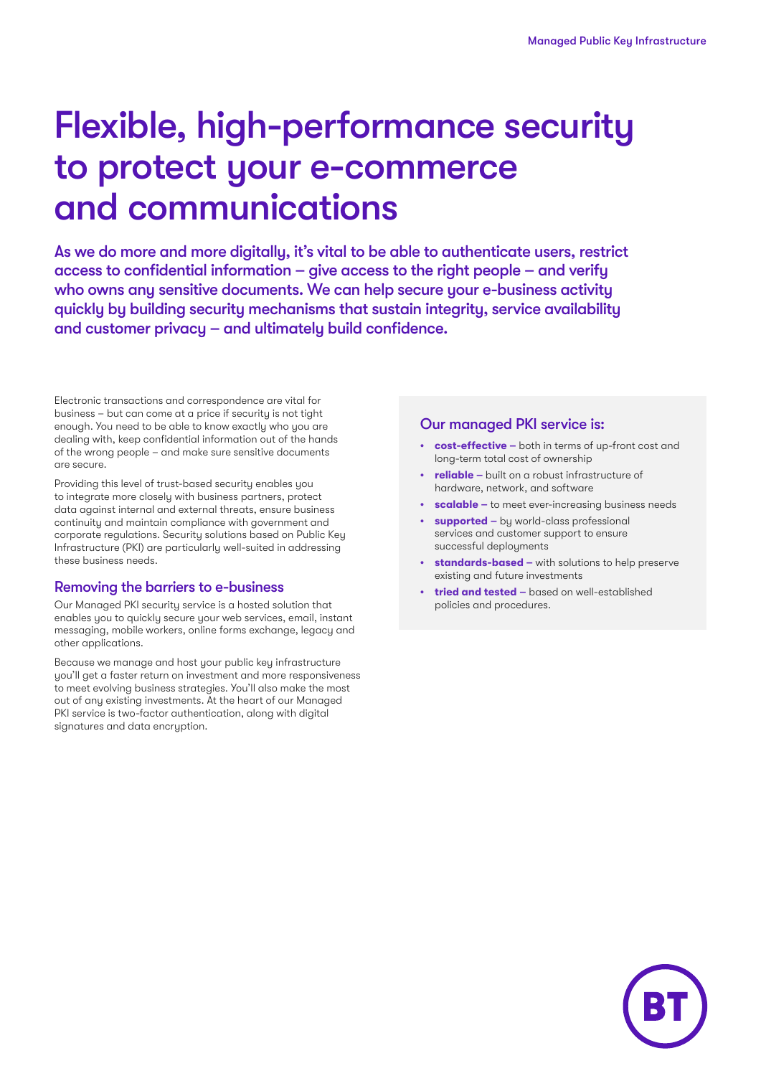# Flexible, high-performance security to protect your e-commerce and communications

As we do more and more digitally, it's vital to be able to authenticate users, restrict access to confidential information – give access to the right people – and verify who owns any sensitive documents. We can help secure your e-business activity quickly by building security mechanisms that sustain integrity, service availability and customer privacy – and ultimately build confidence.

Electronic transactions and correspondence are vital for business – but can come at a price if security is not tight enough. You need to be able to know exactly who you are dealing with, keep confidential information out of the hands of the wrong people – and make sure sensitive documents are secure.

Providing this level of trust-based security enables you to integrate more closely with business partners, protect data against internal and external threats, ensure business continuity and maintain compliance with government and corporate regulations. Security solutions based on Public Key Infrastructure (PKI) are particularly well-suited in addressing these business needs.

#### Removing the barriers to e-business

Our Managed PKI security service is a hosted solution that enables you to quickly secure your web services, email, instant messaging, mobile workers, online forms exchange, legacy and other applications.

Because we manage and host your public key infrastructure you'll get a faster return on investment and more responsiveness to meet evolving business strategies. You'll also make the most out of any existing investments. At the heart of our Managed PKI service is two-factor authentication, along with digital signatures and data encryption.

#### Our managed PKI service is:

- **• cost-effective –** both in terms of up-front cost and long-term total cost of ownership
- **• reliable** built on a robust infrastructure of hardware, network, and software
- **• scalable –** to meet ever-increasing business needs
- **• supported –** by world-class professional services and customer support to ensure successful deployments
- **• standards-based –** with solutions to help preserve existing and future investments
- **• tried and tested –** based on well-established policies and procedures.